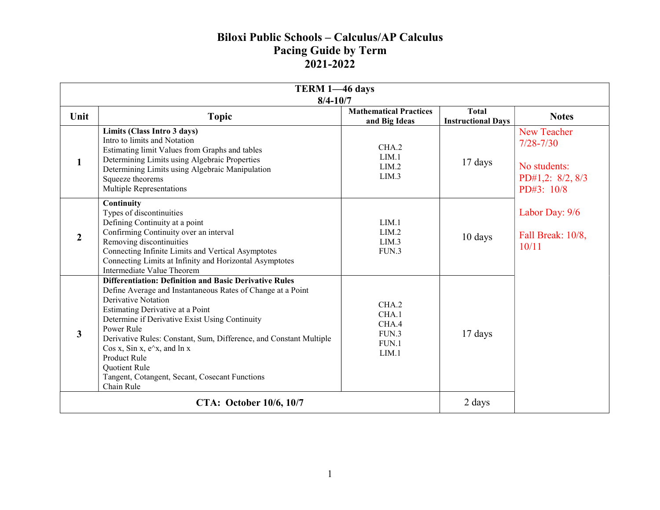## Biloxi Public Schools – Calculus/AP Calculus Pacing Guide by Term 2021-2022

| TERM 1-46 days<br>$8/4 - 10/7$ |                                                                                                                                                                                                                                                                                                                                                                                                                                                                         |                                                    |                                           |                                                                                       |
|--------------------------------|-------------------------------------------------------------------------------------------------------------------------------------------------------------------------------------------------------------------------------------------------------------------------------------------------------------------------------------------------------------------------------------------------------------------------------------------------------------------------|----------------------------------------------------|-------------------------------------------|---------------------------------------------------------------------------------------|
| Unit                           | <b>Topic</b>                                                                                                                                                                                                                                                                                                                                                                                                                                                            | <b>Mathematical Practices</b><br>and Big Ideas     | <b>Total</b><br><b>Instructional Days</b> | <b>Notes</b>                                                                          |
| $\mathbf{1}$                   | Limits (Class Intro 3 days)<br>Intro to limits and Notation<br>Estimating limit Values from Graphs and tables<br>Determining Limits using Algebraic Properties<br>Determining Limits using Algebraic Manipulation<br>Squeeze theorems<br>Multiple Representations                                                                                                                                                                                                       | CHA.2<br>LIM.1<br>LIM.2<br>LIM.3                   | 17 days                                   | <b>New Teacher</b><br>$7/28 - 7/30$<br>No students:<br>PD#1,2: 8/2, 8/3<br>PD#3: 10/8 |
| $\overline{2}$                 | Continuity<br>Types of discontinuities<br>Defining Continuity at a point<br>Confirming Continuity over an interval<br>Removing discontinuities<br>Connecting Infinite Limits and Vertical Asymptotes<br>Connecting Limits at Infinity and Horizontal Asymptotes<br>Intermediate Value Theorem                                                                                                                                                                           | LIM.1<br>LIM.2<br>LIM.3<br>FUN.3                   | 10 days                                   | Labor Day: 9/6<br>Fall Break: 10/8,<br>10/11                                          |
| 3                              | <b>Differentiation: Definition and Basic Derivative Rules</b><br>Define Average and Instantaneous Rates of Change at a Point<br><b>Derivative Notation</b><br>Estimating Derivative at a Point<br>Determine if Derivative Exist Using Continuity<br>Power Rule<br>Derivative Rules: Constant, Sum, Difference, and Constant Multiple<br>Cos x, Sin x, $e^x$ , and ln x<br>Product Rule<br>Quotient Rule<br>Tangent, Cotangent, Secant, Cosecant Functions<br>Chain Rule | CHA.2<br>CHA.1<br>CHA.4<br>FUN.3<br>FUN.1<br>LIM.1 | 17 days                                   |                                                                                       |
| CTA: October 10/6, 10/7        |                                                                                                                                                                                                                                                                                                                                                                                                                                                                         |                                                    | 2 days                                    |                                                                                       |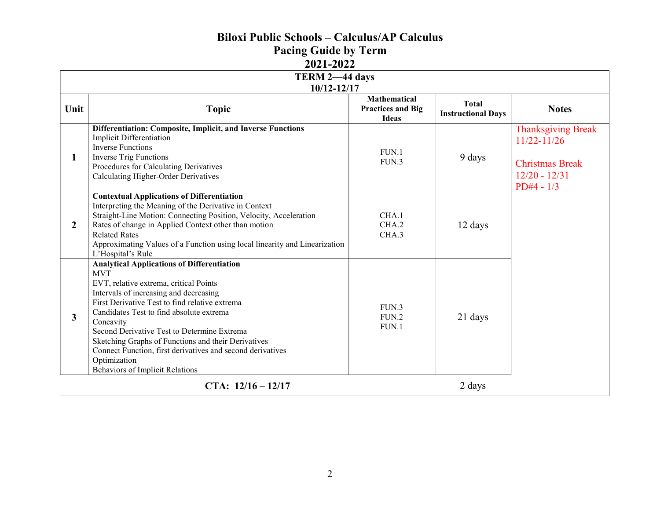## Biloxi Public Schools – Calculus/AP Calculus

Pacing Guide by Term

2021-2022

| TERM 2-44 days<br>10/12-12/17 |                                                                                                                                                                                                                                                                                                                                                                                                                                                                                              |                                                                 |                                           |                                                                                                           |
|-------------------------------|----------------------------------------------------------------------------------------------------------------------------------------------------------------------------------------------------------------------------------------------------------------------------------------------------------------------------------------------------------------------------------------------------------------------------------------------------------------------------------------------|-----------------------------------------------------------------|-------------------------------------------|-----------------------------------------------------------------------------------------------------------|
| Unit                          | <b>Topic</b>                                                                                                                                                                                                                                                                                                                                                                                                                                                                                 | <b>Mathematical</b><br><b>Practices and Big</b><br><b>Ideas</b> | <b>Total</b><br><b>Instructional Days</b> | <b>Notes</b>                                                                                              |
| 1                             | Differentiation: Composite, Implicit, and Inverse Functions<br><b>Implicit Differentiation</b><br><b>Inverse Functions</b><br><b>Inverse Trig Functions</b><br>Procedures for Calculating Derivatives<br>Calculating Higher-Order Derivatives                                                                                                                                                                                                                                                | FUN.1<br>FUN.3                                                  | 9 days                                    | <b>Thanksgiving Break</b><br>$11/22 - 11/26$<br><b>Christmas Break</b><br>$12/20 - 12/31$<br>$PD#4 - 1/3$ |
| $\overline{2}$                | <b>Contextual Applications of Differentiation</b><br>Interpreting the Meaning of the Derivative in Context<br>Straight-Line Motion: Connecting Position, Velocity, Acceleration<br>Rates of change in Applied Context other than motion<br><b>Related Rates</b><br>Approximating Values of a Function using local linearity and Linearization<br>L'Hospital's Rule                                                                                                                           | CHA.1<br>CHA.2<br>CHA.3                                         | 12 days                                   |                                                                                                           |
| $\mathbf{3}$                  | <b>Analytical Applications of Differentiation</b><br><b>MVT</b><br>EVT, relative extrema, critical Points<br>Intervals of increasing and decreasing<br>First Derivative Test to find relative extrema<br>Candidates Test to find absolute extrema<br>Concavity<br>Second Derivative Test to Determine Extrema<br>Sketching Graphs of Functions and their Derivatives<br>Connect Function, first derivatives and second derivatives<br>Optimization<br><b>Behaviors of Implicit Relations</b> | FUN.3<br>FUN.2<br>FUN.1                                         | 21 days                                   |                                                                                                           |
|                               | CTA: $12/16 - 12/17$                                                                                                                                                                                                                                                                                                                                                                                                                                                                         |                                                                 |                                           |                                                                                                           |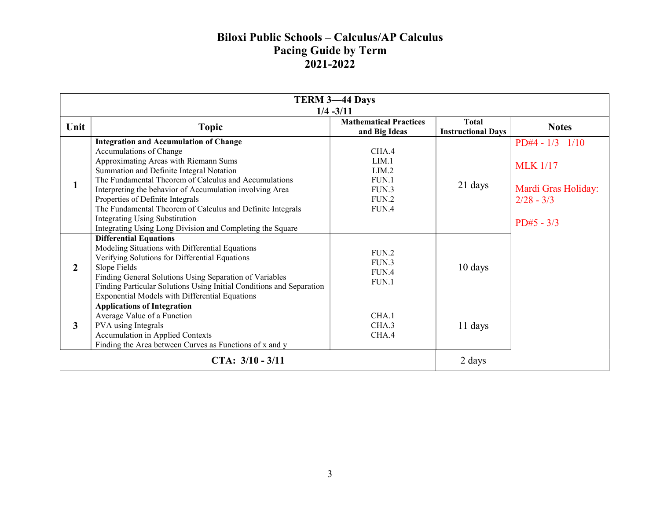## Biloxi Public Schools – Calculus/AP Calculus Pacing Guide by Term 2021-2022

| <b>TERM 3-44 Days</b><br>$1/4 - 3/11$ |                                                                                                                                                                                                                                                                                                                                                                                                                                                                                            |                                                             |                                           |                                                                                               |
|---------------------------------------|--------------------------------------------------------------------------------------------------------------------------------------------------------------------------------------------------------------------------------------------------------------------------------------------------------------------------------------------------------------------------------------------------------------------------------------------------------------------------------------------|-------------------------------------------------------------|-------------------------------------------|-----------------------------------------------------------------------------------------------|
| Unit                                  | <b>Topic</b>                                                                                                                                                                                                                                                                                                                                                                                                                                                                               | <b>Mathematical Practices</b><br>and Big Ideas              | <b>Total</b><br><b>Instructional Days</b> | <b>Notes</b>                                                                                  |
| $\mathbf{1}$                          | <b>Integration and Accumulation of Change</b><br>Accumulations of Change<br>Approximating Areas with Riemann Sums<br>Summation and Definite Integral Notation<br>The Fundamental Theorem of Calculus and Accumulations<br>Interpreting the behavior of Accumulation involving Area<br>Properties of Definite Integrals<br>The Fundamental Theorem of Calculus and Definite Integrals<br><b>Integrating Using Substitution</b><br>Integrating Using Long Division and Completing the Square | CHA.4<br>LIM.1<br>LIM.2<br>FUN.1<br>FUN.3<br>FUN.2<br>FUN.4 | 21 days                                   | $PD#4 - 1/3$ $1/10$<br><b>MLK</b> 1/17<br>Mardi Gras Holiday:<br>$2/28 - 3/3$<br>$PD#5 - 3/3$ |
| $\mathbf{2}$                          | <b>Differential Equations</b><br>Modeling Situations with Differential Equations<br>Verifying Solutions for Differential Equations<br>Slope Fields<br>Finding General Solutions Using Separation of Variables<br>Finding Particular Solutions Using Initial Conditions and Separation<br><b>Exponential Models with Differential Equations</b>                                                                                                                                             | FUN.2<br>FUN.3<br>FUN.4<br>FUN.1                            | 10 days                                   |                                                                                               |
| $\mathbf{3}$                          | <b>Applications of Integration</b><br>Average Value of a Function<br>PVA using Integrals<br>Accumulation in Applied Contexts<br>Finding the Area between Curves as Functions of x and y                                                                                                                                                                                                                                                                                                    | CHA.1<br>CHA.3<br>CHA.4                                     | 11 days                                   |                                                                                               |
|                                       | CTA: $3/10 - 3/11$                                                                                                                                                                                                                                                                                                                                                                                                                                                                         |                                                             |                                           |                                                                                               |